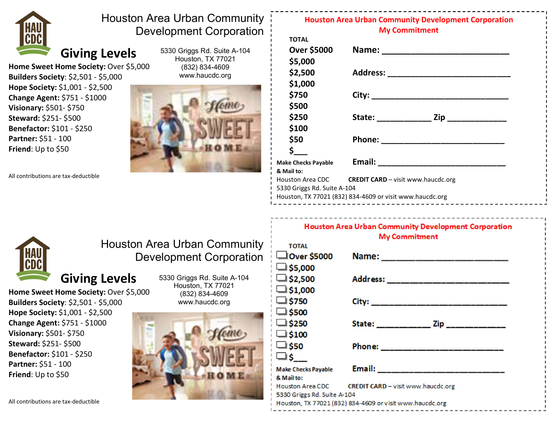

### Houston Area Urban Community Development Corporation

## Giving Levels

Home Sweet Home Society: Over \$5,000 Builders Society: \$2,501 - \$5,000 Hope Society: \$1,001 - \$2,500 Change Agent: \$751 - \$1000 Visionary: \$501- \$750 Steward: \$251- \$500 Benefactor: \$101 - \$250 Partner: \$51 - 100 Friend: Up to \$50

All contributions are tax-deductible

5330 Griggs Rd. Suite A-104 Houston, TX 77021 (832) 834-4609 www.haucdc.org

TOTAL



| IUIAL                       |                                                            |  |
|-----------------------------|------------------------------------------------------------|--|
| <b>Over \$5000</b>          |                                                            |  |
| \$5,000                     |                                                            |  |
| \$2,500                     | Address: _________________________________                 |  |
| \$1,000                     |                                                            |  |
| \$750                       |                                                            |  |
| \$500                       |                                                            |  |
| \$250                       | $\mathsf{Zip}_{\_\!\_}$<br>State: _________                |  |
| \$100                       |                                                            |  |
| \$50                        |                                                            |  |
| \$.                         |                                                            |  |
| <b>Make Checks Payable</b>  |                                                            |  |
| & Mail to:                  |                                                            |  |
|                             | Houston Area CDC <b>CREDIT CARD</b> - visit www.haucdc.org |  |
| 5330 Griggs Rd. Suite A-104 |                                                            |  |
|                             | Houston, TX 77021 (832) 834-4609 or visit www.haucdc.org   |  |
|                             |                                                            |  |



## Houston Area Urban Community Development Corporation

Giving Levels

Home Sweet Home Society: Over \$5,000 Builders Society: \$2,501 - \$5,000 Hope Society: \$1,001 - \$2,500 Change Agent: \$751 - \$1000 Visionary: \$501- \$750 Steward: \$251- \$500 Benefactor: \$101 - \$250 Partner: \$51 - 100 Friend: Up to \$50

5330 Griggs Rd. Suite A-104 Houston, TX 77021 (832) 834-4609 www.haucdc.org



| <b>TOTAL</b>                |                                                          |
|-----------------------------|----------------------------------------------------------|
| Over \$5000                 |                                                          |
| $\Box$ \$5,000              |                                                          |
| $\Box$ \$2,500              | Address: ______________________                          |
| $\Box$ \$1,000              |                                                          |
| $\Box$ \$750                | City: _________________________                          |
| $\Box$ \$500                |                                                          |
| $\Box$ \$250                | State: _______________ Zip ______________                |
| $\Box$ \$100                |                                                          |
| $\Box$ \$50                 | Phone: _____________________                             |
| $\square$ \$__              |                                                          |
| <b>Make Checks Payable</b>  |                                                          |
| & Mail to:                  |                                                          |
| Houston Area CDC            | CREDIT CARD - visit www.haucdc.org                       |
| 5330 Griggs Rd. Suite A-104 |                                                          |
|                             | Houston, TX 77021 (832) 834-4609 or visit www.haucdc.org |

**Houston Area Urban Community Development Corporation My Commitment** 

All contributions are tax-deductible